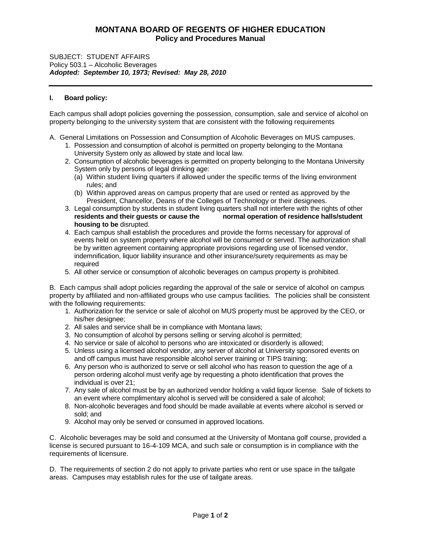# **MONTANA BOARD OF REGENTS OF HIGHER EDUCATION Policy and Procedures Manual**

#### SUBJECT: STUDENT AFFAIRS Policy 503.1 – Alcoholic Beverages *Adopted: September 10, 1973; Revised: May 28, 2010*

### **I. Board policy:**

Each campus shall adopt policies governing the possession, consumption, sale and service of alcohol on property belonging to the university system that are consistent with the following requirements

A. General Limitations on Possession and Consumption of Alcoholic Beverages on MUS campuses.

- 1. Possession and consumption of alcohol is permitted on property belonging to the Montana University System only as allowed by state and local law.
- 2. Consumption of alcoholic beverages is permitted on property belonging to the Montana University System only by persons of legal drinking age:
	- (a) Within student living quarters if allowed under the specific terms of the living environment rules; and
	- (b) Within approved areas on campus property that are used or rented as approved by the President, Chancellor, Deans of the Colleges of Technology or their designees.
- 3. Legal consumption by students in student living quarters shall not interfere with the rights of other **residents and their guests or cause the normal operation of residence halls/student housing to be** disrupted.
- 4. Each campus shall establish the procedures and provide the forms necessary for approval of events held on system property where alcohol will be consumed or served. The authorization shall be by written agreement containing appropriate provisions regarding use of licensed vendor, indemnification, liquor liability insurance and other insurance/surety requirements as may be required
- 5. All other service or consumption of alcoholic beverages on campus property is prohibited.

B. Each campus shall adopt policies regarding the approval of the sale or service of alcohol on campus property by affiliated and non-affiliated groups who use campus facilities. The policies shall be consistent with the following requirements:

- 1. Authorization for the service or sale of alcohol on MUS property must be approved by the CEO, or his/her designee;
- 2. All sales and service shall be in compliance with Montana laws;
- 3. No consumption of alcohol by persons selling or serving alcohol is permitted;
- 4. No service or sale of alcohol to persons who are intoxicated or disorderly is allowed;
- 5. Unless using a licensed alcohol vendor, any server of alcohol at University sponsored events on and off campus must have responsible alcohol server training or TIPS training;
- 6. Any person who is authorized to serve or sell alcohol who has reason to question the age of a person ordering alcohol must verify age by requesting a photo identification that proves the individual is over 21;
- 7. Any sale of alcohol must be by an authorized vendor holding a valid liquor license. Sale of tickets to an event where complimentary alcohol is served will be considered a sale of alcohol;
- 8. Non-alcoholic beverages and food should be made available at events where alcohol is served or sold; and
- 9. Alcohol may only be served or consumed in approved locations.

C. Alcoholic beverages may be sold and consumed at the University of Montana golf course, provided a license is secured pursuant to 16-4-109 MCA, and such sale or consumption is in compliance with the requirements of licensure.

D. The requirements of section 2 do not apply to private parties who rent or use space in the tailgate areas. Campuses may establish rules for the use of tailgate areas.